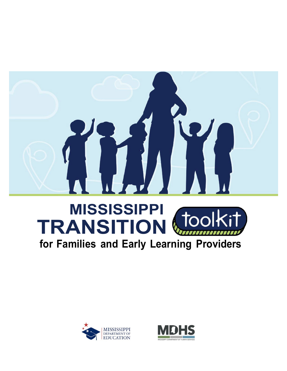

# **MISSISSIPPI TRANSITION**

**for Families and Early Learning Providers**



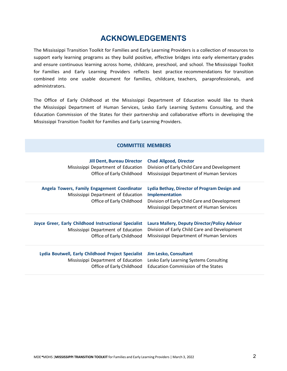## **ACKNOWLEDGEMENTS**

The Mississippi Transition Toolkit for Families and Early Learning Providers is a collection of resources to support early learning programs as they build positive, effective bridges into early elementary grades and ensure continuous learning across home, childcare, preschool, and school. The Mississippi Toolkit for Families and Early Learning Providers reflects best practice recommendations for transition combined into one usable document for families, childcare, teachers, paraprofessionals, and administrators.

The Office of Early Childhood at the Mississippi Department of Education would like to thank the Mississippi Department of Human Services, Lesko Early Learning Systems Consulting, and the Education Commission of the States for their partnership and collaborative efforts in developing the Mississippi Transition Toolkit for Families and Early Learning Providers.

#### **COMMITTEE MEMBERS**

| <b>Jill Dent, Bureau Director</b>                                                                                | <b>Chad Allgood, Director</b>                                                                                                                                     |
|------------------------------------------------------------------------------------------------------------------|-------------------------------------------------------------------------------------------------------------------------------------------------------------------|
| Mississippi Department of Education                                                                              | Division of Early Child Care and Development                                                                                                                      |
| Office of Early Childhood                                                                                        | Mississippi Department of Human Services                                                                                                                          |
| Angela Towers, Family Engagement Coordinator<br>Mississippi Department of Education<br>Office of Early Childhood | Lydia Bethay, Director of Program Design and<br><b>Implementation</b><br>Division of Early Child Care and Development<br>Mississippi Department of Human Services |
| <b>Joyce Greer, Early Childhood Instructional Specialist</b>                                                     | Laura Mallery, Deputy Director/Policy Advisor                                                                                                                     |
| Mississippi Department of Education                                                                              | Division of Early Child Care and Development                                                                                                                      |
| Office of Early Childhood                                                                                        | Mississippi Department of Human Services                                                                                                                          |
| Lydia Boutwell, Early Childhood Project Specialist                                                               | <b>Jim Lesko, Consultant</b>                                                                                                                                      |
| Mississippi Department of Education                                                                              | Lesko Early Learning Systems Consulting                                                                                                                           |
| Office of Early Childhood                                                                                        | Education Commission of the States                                                                                                                                |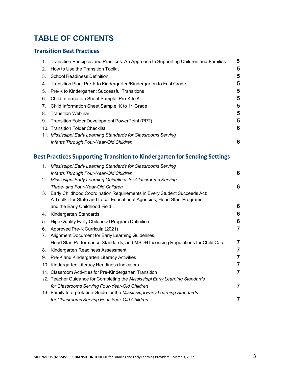# **TABLE OF CONTENTS**

## **Transition Best Practices**

|             | 1. Transition Principles and Practices: An Approach to Supporting Children and Families | 5 |
|-------------|-----------------------------------------------------------------------------------------|---|
| $2^{\circ}$ | How to Use the Transition Toolkit                                                       | 5 |
| 3.          | <b>School Readiness Definition</b>                                                      | 5 |
| 4.          | Transition Plan: Pre-K to Kindergarten/Kindergarten to Frist Grade                      | 5 |
| 5.          | Pre-K to Kindergarten: Successful Transitions                                           | 5 |
| 6.          | Child Information Sheet Sample: Pre-K to K                                              | 5 |
| 7.          | Child Information Sheet Sample: K to 1 <sup>st</sup> Grade                              | 5 |
| 8.          | <b>Transition Webinar</b>                                                               | 5 |
| 9.          | Transition Folder Development PowerPoint (PPT)                                          | 5 |
|             | 10. Transition Folder Checklist                                                         | 6 |
|             | 11. Mississippi Early Learning Standards for Classrooms Serving                         |   |
|             | Infants Through Four-Year-Old Children                                                  | 6 |

## **Best Practices Supporting Transition to Kindergarten for Sending Settings**

| $1_{\cdot}$ | Mississippi Early Learning Standards for Classrooms Serving                     |   |
|-------------|---------------------------------------------------------------------------------|---|
|             | Infants Through Four-Year-Old Children                                          | 6 |
| 2.          | Mississippi Early Learning Guidelines for Classrooms Serving                    |   |
|             | Three- and Four-Year-Old Children                                               | 6 |
| 3.          | Early Childhood Coordination Requirements in Every Student Succeeds Act:        |   |
|             | A Toolkit for State and Local Educational Agencies, Head Start Programs,        |   |
|             | and the Early Childhood Field                                                   | 6 |
| 4.          | Kindergarten Standards                                                          | 6 |
| 5.          | High Quality Early Childhood Program Definition                                 | 6 |
| 6.          | Approved Pre-K Curricula (2021)                                                 | 7 |
| 7.          | Alignment Document for Early Learning Guidelines,                               |   |
|             | Head Start Performance Standards, and MSDH Licensing Regulations for Child Care | 7 |
| 8.          | Kindergarten Readiness Assessment                                               | 7 |
| 9.          | Pre-K and Kindergarten Literacy Activities                                      | 7 |
|             | 10. Kindergarten Literacy Readiness Indicators                                  | 7 |
|             | 11. Classroom Activities for Pre-Kindergarten Transition                        | 7 |
|             | 12. Teacher Guidance for Completing the Mississippi Early Learning Standards    |   |
|             | for Classrooms Serving Four-Year-Old Children                                   | 7 |
|             | 13. Family Interpretation Guide for the Mississippi Early Learning Standards    |   |
|             | for Classrooms Serving Four-Year-Old Children                                   |   |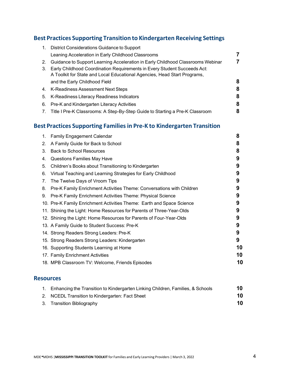### **Best Practices Supporting Transition to Kindergarten Receiving Settings**

| 1.       | District Considerations Guidance to Support                                                                                                                                                                                             |   |
|----------|-----------------------------------------------------------------------------------------------------------------------------------------------------------------------------------------------------------------------------------------|---|
|          | Leaning Acceleration in Early Childhood Classrooms                                                                                                                                                                                      |   |
| 2.<br>3. | Guidance to Support Learning Acceleration in Early Childhood Classrooms Webinar<br>Early Childhood Coordination Requirements in Every Student Succeeds Act:<br>A Toolkit for State and Local Educational Agencies, Head Start Programs, | 7 |
|          | and the Early Childhood Field                                                                                                                                                                                                           | 8 |
|          | 4. K-Readiness Assessment Next Steps                                                                                                                                                                                                    | 8 |
| 5.       | K-Readiness Literacy Readiness Indicators                                                                                                                                                                                               | 8 |
| 6.       | Pre-K and Kindergarten Literacy Activities                                                                                                                                                                                              | 8 |
|          | 7. Title I Pre-K Classrooms: A Step-By-Step Guide to Starting a Pre-K Classroom                                                                                                                                                         | 8 |

## **Best Practices Supporting Familiesin Pre-K to Kindergarten Transition**

|    | 1. Family Engagement Calendar                                         | 8  |
|----|-----------------------------------------------------------------------|----|
| 2. | A Family Guide for Back to School                                     | 8  |
| 3. | <b>Back to School Resources</b>                                       | 8  |
| 4. | <b>Questions Families May Have</b>                                    | 9  |
| 5. | Children's Books about Transitioning to Kindergarten                  | 9  |
| 6. | Virtual Teaching and Learning Strategies for Early Childhood          | 9  |
| 7. | The Twelve Days of Vroom Tips                                         | 9  |
| 8. | Pre-K Family Enrichment Activities Theme: Conversations with Children | 9  |
| 9. | Pre-K Family Enrichment Activities Theme: Physical Science            | 9  |
|    | 10. Pre-K Family Enrichment Activities Theme: Earth and Space Science | 9  |
|    | 11. Shining the Light: Home Resources for Parents of Three-Year-Olds  | 9  |
|    | 12. Shining the Light: Home Resources for Parents of Four-Year-Olds   | 9  |
|    | 13. A Family Guide to Student Success: Pre-K                          | 9  |
|    | 14. Strong Readers Strong Leaders: Pre-K                              | 9  |
|    | 15. Strong Readers Strong Leaders: Kindergarten                       | 9  |
|    | 16. Supporting Students Learning at Home                              | 10 |
|    | 17. Family Enrichment Activities                                      | 10 |
|    | 18. MPB Classroom TV: Welcome, Friends Episodes                       | 10 |

#### **Resources**

| 1. Enhancing the Transition to Kindergarten Linking Children, Families, & Schools | 10 |
|-----------------------------------------------------------------------------------|----|
| 2. NCEDL Transition to Kindergarten: Fact Sheet                                   | 10 |
| 3. Transition Bibliography                                                        | 10 |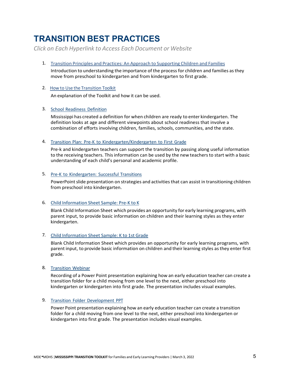# **TRANSITION BEST PRACTICES**

*Click on Each Hyperlink to Access Each Document or Website*

1. Transition Principles [and Practices: An](https://www.mdek12.org/sites/default/files/documents/OAE/OEER/Early%20Childhood/transition_principles_and_practices_an_approach_to_supporting_children_and_families.pdf) Approach to Supporting Children and Families

Introduction to understanding the importance of the process for children and families asthey move from preschool to kindergarten and from kindergarten to first grade.

#### 2. How to Use the [Transition](https://www.mdek12.org/sites/default/files/documents/OAE/OEER/Early%20Childhood/how_to_use_the_transition_toolkit.pdf) Toolkit

An explanation of the Toolkit and how it can be used.

#### 3. School [Readiness](https://www.mdek12.org/sites/default/files/school_readiness_definition.docx) Definition

Mississippi has created a definition for when children are ready to enter kindergarten. The definition looks at age and different viewpoints about school readiness that involve a combination of efforts involving children, families, schools, communities, and the state.

#### 4. Transition Plan: Pre-K to [Kindergarten/Kindergarten](https://mdek12.org/sites/default/files/transition_plan_prek_k_k_first.docx) to First Grade

Pre-k and kindergarten teachers can support the transition by passing along useful information to the receiving teachers. This information can be used by the new teachers to start with a basic understanding of each child's personal and academic profile.

#### 5. Pre-K to [Kindergarten:](https://www.mdek12.org/sites/default/files/Offices/MDE/OAE/OEER/OEC/transition-folder-development-ppt.pdf) Successful Transitions

PowerPoint slide presentation on strategies and activities that can assist in transitioning children from preschool into kindergarten.

#### 6. [Child Information Sheet](https://mdek12.org/sites/default/files/prek_to_k_child_info_form.docx) Sample: Pre-K to K

Blank Child Information Sheet which provides an opportunity for early learning programs, with parent input, to provide basic information on children and their learning styles as they enter kindergarten.

#### 7. [Child Information Sheet](https://mdek12.org/sites/default/files/k_to_1st_child_info_form.docx) Sample: K to 1st Grade

Blank Child Information Sheet which provides an opportunity for early learning programs, with parent input, to provide basic information on children and theirlearning styles asthey enter first grade.

#### 8. [Transition](https://www.mdek12.org/sites/default/files/documents/OAE/OEER/Early%20Childhood/Transition_%20PreK_and_K.mp4) Webinar

Recording of a Power Point presentation explaining how an early education teacher can create a transition folder for a child moving from one level to the next, either preschool into kindergarten or kindergarten into first grade. The presentation includes visual examples.

#### 9. Transition Folder [Development](https://mdek12.org/sites/default/files/transition_prek_k_k_first_final_10.23.2020.pdf) PPT

Power Point presentation explaining how an early education teacher can create a transition folder for a child moving from one level to the next, either preschool into kindergarten or kindergarten into first grade. The presentation includes visual examples.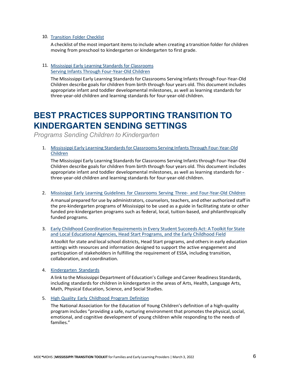#### 10. [Transition](https://mdek12.org/sites/default/files/transition_folder_checklist_prek-k_k-first.docx) Folder Checklist

A checklist of the most important itemsto include when creating a transition folder for children moving from preschool to kindergarten or kindergarten to first grade.

#### 11. [Mississippi Early Learning Standards for Classrooms](https://www.mdek12.org/sites/default/files/final_edited_infants_through_four-year-old_early_learning_standards_2020._04.09.pdf) [Serving Infants Through Four-Year-Old Children](https://www.mdek12.org/sites/default/files/final_edited_infants_through_four-year-old_early_learning_standards_2020._04.09.pdf)

The Mississippi Early Learning Standards for Classrooms Serving Infantsthrough Four-Year-Old Children describe goals for children from birth through four years old. This document includes appropriate infant and toddler developmental milestones, as well as learning standards for three-year-old children and learning standards for four-year-old children.

# **BEST PRACTICES SUPPORTING TRANSITION TO KINDERGARTEN SENDING SETTINGS**

*Programs Sending Children to Kindergarten*

1. [Mississippi Early Learning Standards for Classrooms Serving](https://www.mdek12.org/sites/default/files/final_edited_infants_through_four-year-old_early_learning_standards_2020._04.09.pdf) Infants Through Four-Year-Old [Children](https://www.mdek12.org/sites/default/files/final_edited_infants_through_four-year-old_early_learning_standards_2020._04.09.pdf)

The Mississippi Early Learning Standards for Classrooms Serving Infantsthrough Four-Year-Old Children describe goals for children from birth through four years old. This document includes appropriate infant and toddler developmental milestones, as well as learning standards for three-year-old children and learning standards for four-year-old children.

2. Mississippi Early Learning Guidelines for Classrooms Serving Three- and [Four-Year-Old](https://www.mdek12.org/sites/default/files/Offices/MDE/OAE/OEER/Early%20Childhood/Early%20Childhood%20Early%20Learning%20Guidelines%203%27s%20%204%27s%202018%20FINAL%20with%20no%20mark-ups.pdf) Children

A manual prepared for use by administrators, counselors, teachers, and other authorized staff in the pre-kindergarten programs of Mississippi to be used as a guide in facilitating state or other funded pre-kindergarten programs such as federal, local, tuition-based, and philanthropically funded programs.

3. Early Childhood Coordination Requirements in Every Student Succeeds Act: A Toolkit for State and Local Educational Agencies, Head Start Programs, and the Early Childhood Field

A toolkit for state and local school districts, Head Start programs, and others in early education settings with resources and information designed to support the active engagement and participation of stakeholders in fulfilling the requirement of ESSA, including transition, collaboration, and coordination.

4. [Kindergarten](https://www.mdek12.org/OAE/college-and-career-readiness-standards) Standards

A link to the Mississippi Department of Education's College and Career Readiness Standards, including standards for children in kindergarten in the areas of Arts, Health, Language Arts, Math, Physical Education, Science, and Social Studies.

5. High Quality Early [Childhood](https://www.mdek12.org/sites/default/files/high_quality_definition.docx) Program Definition

The National Association for the Education of Young Children's definition of a high-quality program includes "providing a safe, nurturing environment that promotes the physical, social, emotional, and cognitive development of young children while responding to the needs of families."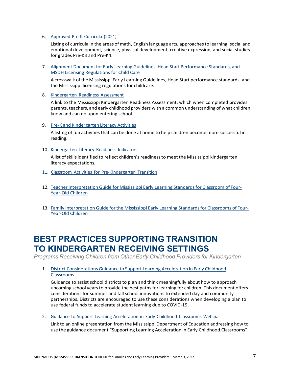#### 6. Approved [Pre-K Curricula](https://mdek12.org/OAE/OEER/2020-2021-Adoption-List) (2021)

Listing of curricula in the areas of math, English language arts, approachesto learning, social and emotional development, science, physical development, creative expression, and social studies for grades Pre-K3 and Pre-K4.

7. Alignment Document for Early Learning Guidelines, [Head Start Performance Standards,](https://mdek12.org/sites/default/files/mde_hs_crosswalk_final_draft.docx) and [MSDH Licensing Regulations for Child Care](https://mdek12.org/sites/default/files/mde_hs_crosswalk_final_draft.docx)

A crosswalk of the Mississippi Early Learning Guidelines, Head Start performance standards, and the Mississippi licensing regulations for childcare.

8. [Kindergarten](https://mdek12.org/OSA/K_Readiness) Readiness Assessment

A link to the Mississippi Kindergarten Readiness Assessment, which when completed provides parents, teachers, and early childhood providers with a common understanding of what children know and can do upon entering school.

#### 9. Pre-K and [Kindergarten Literacy Activities](https://www.mdek12.org/sites/default/files/Offices/MDE/OA/OSA/pre-k-and-kindergarten-reading-activities_9.pdf)

A listing of fun activities that can be done at home to help children become more successful in reading.

10. [Kindergarten](https://www.mdek12.org/sites/default/files/Offices/MDE/OA/OSA/kindergarten-literacy-readiness-indicators_8.pdf) Literacy Readiness Indicators

A list ofskillsidentified to reflect children's readinessto meet the Mississippi kindergarten literacy expectations.

- 11. Classroom Activities for [Pre-Kindergarten](https://www.mdek12.org/sites/default/files/documents/OAE/OEER/Early%20Childhood/classroom_activities_for_pre-kindergarten_transition.pdf) Transition
- 12. Teacher Interpretation Guide for [Mississippi Early Learning Standards for Classroom of](https://mdek12-my.sharepoint.com/personal/atowers_mdek12_org/Documents/Documents/Teacher%20Guidance%20for%20Completing%20Four%20Year%20Old%20%20Standards%20%20Checklsit%20Final_.pdf) Four-[Year-Old Children](https://mdek12-my.sharepoint.com/personal/atowers_mdek12_org/Documents/Documents/Teacher%20Guidance%20for%20Completing%20Four%20Year%20Old%20%20Standards%20%20Checklsit%20Final_.pdf)
- 13. Family Interpretation Guide for the [Mississippi Early Learning Standards for](https://mdek12-my.sharepoint.com/personal/atowers_mdek12_org/Documents/Documents/Family%20Interpretation%20Guide%20for%20the%20Mississippi%20Early%20Learning%20Standards%20for%20Classrooms%20(002).pdf) Classrooms of Four-[Year-Old Children](https://mdek12-my.sharepoint.com/personal/atowers_mdek12_org/Documents/Documents/Family%20Interpretation%20Guide%20for%20the%20Mississippi%20Early%20Learning%20Standards%20for%20Classrooms%20(002).pdf)

# **BEST PRACTICES SUPPORTING TRANSITION TO KINDERGARTEN RECEIVING SETTINGS**

*Programs Receiving Children from Other Early Childhood Providers for Kindergarten*

1. [District Considerations Guidance](https://www.mdek12.org/sites/default/files/ec_district_considerations_guidance4-14-21.pdf) to Support Learning Acceleration in Early Childhood [Classrooms](https://www.mdek12.org/sites/default/files/ec_district_considerations_guidance4-14-21.pdf)

Guidance to assist school districts to plan and think meaningfully about how to approach upcoming school years to provide the best paths for learning for children. This document offers considerations for summer and fall school innovations to extended day and community partnerships. Districts are encouraged to use these considerations when developing a plan to use federal funds to accelerate student learning due to COVID-19.

2. Guidance to Support Learning [Acceleration](https://www.mdek12.org/sites/default/files/Offices/MDE/OAE/OPD/Accelerated%20Learning%20Guidance%20Webinar.mp4) in Early Childhood Classrooms Webinar

Link to an online presentation from the Mississippi Department of Education addressing how to use the guidance document "Supporting Learning Acceleration in Early Childhood Classrooms".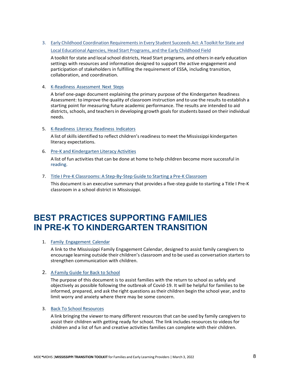3. Early Childhood Coordination Requirements in Every Student Succeeds Act: A Toolkit for State and Local [Educational](https://www.mdek12.org/sites/default/files/documents/OAE/OEER/Early%20Childhood/toolkit-new_early_childhood_coordination_requirements_in_the_essa-for_pr.pdf) Agencies, Head Start Programs, and the Early Childhood Field

A toolkit for state and local school districts, Head Start programs, and others in early education settings with resources and information designed to support the active engagement and participation of stakeholders in fulfilling the requirement of ESSA, including transition, collaboration, and coordination.

#### 4. [K-Readiness](https://mdek12.org/sites/default/files/Offices/MDE/OA/OSA/mkas2_next-steps_1.pdf) Assessment Next Steps

A brief one-page document explaining the primary purpose of the Kindergarten Readiness Assessment: to improve the quality of classroom instruction and to use the results to establish a starting point for measuring future academic performance. The results are intended to aid districts, schools, and teachers in developing growth goals for students based on their individual needs.

#### 5. [K-Readiness](https://www.mdek12.org/sites/default/files/Offices/MDE/OA/OSA/kindergarten-literacy-readiness-indicators_8.pdf) Literacy Readiness Indicators

A list of skills identified to reflect children's readiness to meet the Mississippi kindergarten literacy expectations.

#### 6. Pre-K and [Kindergarten Literacy Activities](https://www.mdek12.org/sites/default/files/Offices/MDE/OA/OSA/pre-k-and-kindergarten-reading-activities_9.pdf)

A list of fun activities that can be done at home to help children become more successful in reading.

#### 7. [Title I Pre-K Classrooms: A Step-By-Step](https://www.mdek12.org/sites/default/files/Offices/MDE/OAE/OEER/OEC/title-i-pre-k-classroom-guide.pdf) Guide to Starting a Pre-K Classroom

This document is an executive summary that provides a five-step guide to starting a Title I Pre-K classroom in a school district in Mississippi.

# **BEST PRACTICES SUPPORTING FAMILIES IN PRE-K TO KINDERGARTEN TRANSITION**

#### 1. Family [Engagement](https://www.mdek12.org/sites/default/files/family_engagement_calendar_july_thru_june_final.pdf) Calendar

A link to the Mississippi Family Engagement Calendar, designed to assist family caregivers to encourage learning outside their children's classroom and to be used as conversation starters to strengthen communication with children.

#### 2. A Family Guide [for Back to](https://www.mdek12.org/sites/default/files/oec_back_to_school_family_guide_2020-2021_final.pdf) School

The purpose of this document is to assist families with the return to school as safely and objectively as possible following the outbreak of Covid-19. It will be helpful for families to be informed, prepared, and ask the right questions astheir children begin the school year, and to limit worry and anxiety where there may be some concern.

#### 3. Back To School [Resources](https://mdek12.org/EC/Back-to-School-Resources)

A link bringing the viewerto many different resources that can be used by family caregivers to assist their children with getting ready for school. The link includes resources to videos for children and a list of fun and creative activities families can complete with their children.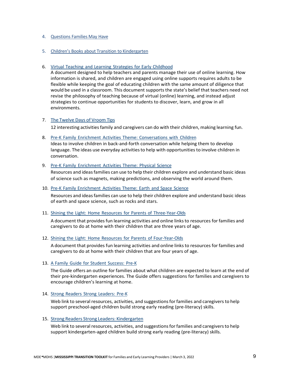#### 4. [Questions](https://www.mdek12.org/sites/default/files/documents/OAE/OEER/Early%20Childhood/questions_families_may_have_1.pdf) Families May Have

#### 5. Children's Books about Transition to [Kindergarten](https://www.mdek12.org/sites/default/files/documents/OAE/OEER/Early%20Childhood/children_s_books_about_transitioning_to_kindergarten.pdf)

#### 6. Virtual Teaching and Learning Strategies for Early [Childhood](https://www.mdek12.org/sites/default/files/final_virtual_teaching_and_learning_strategies_in_early_childhood_6.30.2020.pdf)

A document designed to help teachers and parents manage their use of online learning. How information is shared, and children are engaged using online supports requires adults to be flexible while keeping the goal of educating children with the same amount of diligence that would be used in a classroom. This document supports the state's belief that teachers need not revise the philosophy of teaching because of virtual (online) learning, and instead adjust strategies to continue opportunities for students to discover, learn, and grow in all environments.

#### 7. The [Twelve](https://mississippithrive.com/wp-content/uploads/2020/12/12-days-of-Christmas_Vroom-2020-Full-PDF.pdf) Days of Vroom Tips

12 interesting activities family and caregivers can do with their children, making learning fun.

8. Pre-K Family Enrichment Activities Theme: [Conversations](https://www.mdek12.org/sites/default/files/conversations_with_children_family_enrichment_extension_002.pdf) with Children Ideas to involve children in back-and-forth conversation while helping them to develop language. The ideas use everyday activities to help with opportunities to involve children in conversation.

#### 9. [Pre-K Family](https://www.mdek12.org/sites/default/files/physical_science.pdf) Enrichment Activities Theme: Physical Science

Resources and ideasfamilies can use to help their children explore and understand basic ideas of science such as magnets, making predictions, and observing the world around them.

#### 10. [Pre-K Family](https://www.mdek12.org/sites/default/files/earth_and_space_science.pdf) Enrichment Activities Theme: Earth and Space Science

Resources and ideasfamilies can use to help their children explore and understand basic ideas of earth and space science, such as rocks and stars.

#### 11. Shining the Light: Home Resources for Parents of [Three-Year-Olds](https://drive.google.com/file/d/1hDuGYwOPaBAAcA7M3Y8EAZtN8j9suNey/view)

A document that providesfun learning activities and online linksto resources forfamilies and caregivers to do at home with their children that are three years of age.

#### 12. Shining the Light: Home Resources for Parents of [Four-Year-Olds](https://drive.google.com/file/d/1qQlxeLtYIw3Beh70FJjN04GNe0wFchN7/view)

A document that provides fun learning activities and online linksto resources forfamilies and caregivers to do at home with their children that are four years of age.

#### 13. [A Family](https://www.mdek12.org/sites/default/files/documents/OAE/OEER/Intervention%20Services/FamGuide%20English/fgss_prek_web-view.pdf) Guide for Student Success: Pre-K

The Guide offers an outline for families about what children are expected to learn at the end of their pre-kindergarten experiences. The Guide offers suggestions for families and caregivers to encourage children's learning at home.

#### 14. Strong Readers Strong [Leaders:](https://strongreadersms.com/pre-k/) Pre-K

Web link to several resources, activities, and suggestions for families and caregivers to help support preschool-aged children build strong early reading (pre-literacy) skills.

#### 15. [Strong Readers Strong Leaders: Kindergarten](https://strongreadersms.com/kindergarten/)

Web link to several resources, activities, and suggestions for families and caregivers to help support kindergarten-aged children build strong early reading (pre-literacy) skills.